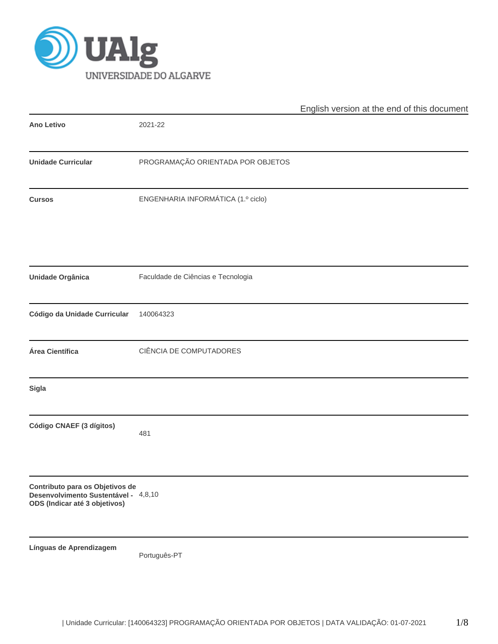

|                                                                                                          |                                    | English version at the end of this document |
|----------------------------------------------------------------------------------------------------------|------------------------------------|---------------------------------------------|
| <b>Ano Letivo</b>                                                                                        | 2021-22                            |                                             |
| <b>Unidade Curricular</b>                                                                                | PROGRAMAÇÃO ORIENTADA POR OBJETOS  |                                             |
| <b>Cursos</b>                                                                                            | ENGENHARIA INFORMÁTICA (1.º ciclo) |                                             |
| <b>Unidade Orgânica</b>                                                                                  | Faculdade de Ciências e Tecnologia |                                             |
| Código da Unidade Curricular                                                                             | 140064323                          |                                             |
| Área Científica                                                                                          | CIÊNCIA DE COMPUTADORES            |                                             |
| Sigla                                                                                                    |                                    |                                             |
| Código CNAEF (3 dígitos)                                                                                 | 481                                |                                             |
| Contributo para os Objetivos de<br>Desenvolvimento Sustentável - 4,8,10<br>ODS (Indicar até 3 objetivos) |                                    |                                             |
| Línguas de Aprendizagem                                                                                  | Português-PT                       |                                             |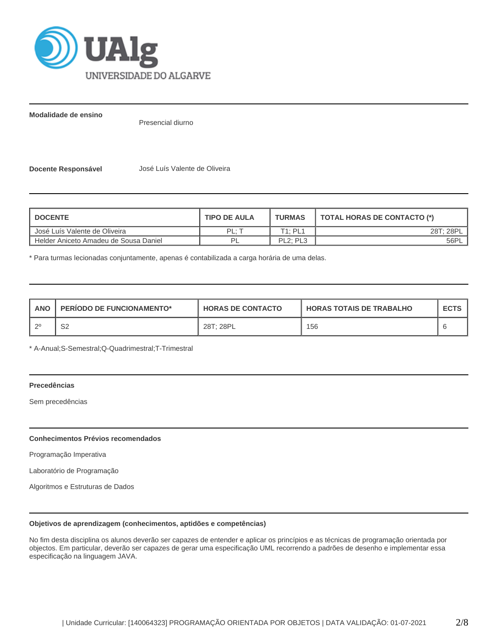

**Modalidade de ensino**

Presencial diurno

**Docente Responsável** José Luís Valente de Oliveira

| <b>I DOCENTE</b>                      | <b>TIPO DE AULA</b> | <b>TURMAS</b>                     | <b>TOTAL HORAS DE CONTACTO (*)</b> |
|---------------------------------------|---------------------|-----------------------------------|------------------------------------|
| Uosé Luís Valente de Oliveira         | PI ·                | T1: PL1                           | 28T: 28PL                          |
| Helder Aniceto Amadeu de Sousa Daniel | DI                  | PL <sub>2</sub> : PL <sub>3</sub> | 56PL                               |

\* Para turmas lecionadas conjuntamente, apenas é contabilizada a carga horária de uma delas.

| <b>ANO</b> | <b>PERIODO DE FUNCIONAMENTO*</b> | <b>HORAS DE CONTACTO</b> | <b>HORAS TOTAIS DE TRABALHO</b> | <b>ECTS</b> |
|------------|----------------------------------|--------------------------|---------------------------------|-------------|
| _റ0        | ິ<br>ےت                          | 28T: 28PL                | 156                             |             |

\* A-Anual;S-Semestral;Q-Quadrimestral;T-Trimestral

## **Precedências**

Sem precedências

## **Conhecimentos Prévios recomendados**

Programação Imperativa

Laboratório de Programação

Algoritmos e Estruturas de Dados

### **Objetivos de aprendizagem (conhecimentos, aptidões e competências)**

No fim desta disciplina os alunos deverão ser capazes de entender e aplicar os princípios e as técnicas de programação orientada por objectos. Em particular, deverão ser capazes de gerar uma especificação UML recorrendo a padrões de desenho e implementar essa especificação na linguagem JAVA.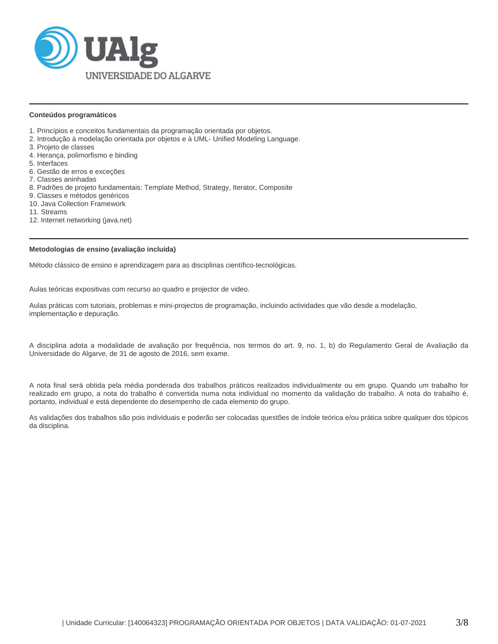

### **Conteúdos programáticos**

- 1. Princípios e conceitos fundamentais da programação orientada por objetos.
- 2. Introdução à modelação orientada por objetos e à UML- Unified Modeling Language.
- 3. Projeto de classes
- 4. Herança, polimorfismo e binding
- 5. Interfaces
- 6. Gestão de erros e exceções
- 7. Classes aninhadas
- 8. Padrões de projeto fundamentais: Template Method, Strategy, Iterator, Composite
- 9. Classes e métodos genéricos
- 10. Java Collection Framework
- 11. Streams
- 12. Internet networking (java.net)

### **Metodologias de ensino (avaliação incluída)**

Método clássico de ensino e aprendizagem para as disciplinas científico-tecnológicas.

Aulas teóricas expositivas com recurso ao quadro e projector de video.

Aulas práticas com tutoriais, problemas e mini-projectos de programação, incluindo actividades que vão desde a modelação, implementação e depuração.

A disciplina adota a modalidade de avaliação por frequência, nos termos do art. 9, no. 1, b) do Regulamento Geral de Avaliação da Universidade do Algarve, de 31 de agosto de 2016, sem exame.

A nota final será obtida pela média ponderada dos trabalhos práticos realizados individualmente ou em grupo. Quando um trabalho for realizado em grupo, a nota do trabalho é convertida numa nota individual no momento da validação do trabalho. A nota do trabalho é, portanto, individual e está dependente do desempenho de cada elemento do grupo.

As validações dos trabalhos são pois individuais e poderão ser colocadas questões de índole teórica e/ou prática sobre qualquer dos tópicos da disciplina.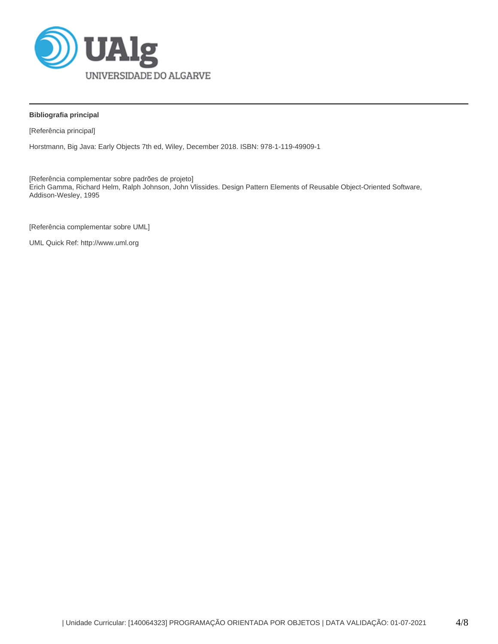

## **Bibliografia principal**

[Referência principal]

Horstmann, Big Java: Early Objects 7th ed, Wiley, December 2018. ISBN: 978-1-119-49909-1

[Referência complementar sobre padrões de projeto] Erich Gamma, Richard Helm, Ralph Johnson, John Vlissides. Design Pattern Elements of Reusable Object-Oriented Software, Addison-Wesley, 1995

[Referência complementar sobre UML]

UML Quick Ref: http://www.uml.org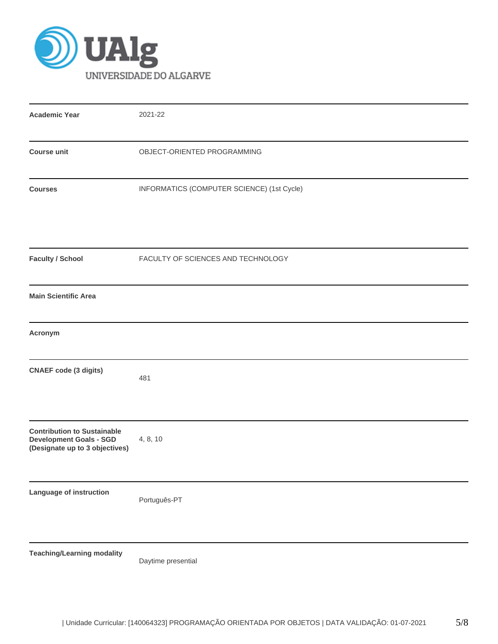

| <b>Academic Year</b>                                                                                   | 2021-22<br>OBJECT-ORIENTED PROGRAMMING     |  |  |  |  |  |
|--------------------------------------------------------------------------------------------------------|--------------------------------------------|--|--|--|--|--|
| <b>Course unit</b>                                                                                     |                                            |  |  |  |  |  |
| <b>Courses</b>                                                                                         | INFORMATICS (COMPUTER SCIENCE) (1st Cycle) |  |  |  |  |  |
| <b>Faculty / School</b>                                                                                | FACULTY OF SCIENCES AND TECHNOLOGY         |  |  |  |  |  |
| <b>Main Scientific Area</b>                                                                            |                                            |  |  |  |  |  |
| Acronym                                                                                                |                                            |  |  |  |  |  |
| <b>CNAEF code (3 digits)</b>                                                                           | 481                                        |  |  |  |  |  |
| <b>Contribution to Sustainable</b><br><b>Development Goals - SGD</b><br>(Designate up to 3 objectives) | 4, 8, 10                                   |  |  |  |  |  |
| Language of instruction                                                                                | Português-PT                               |  |  |  |  |  |
| <b>Teaching/Learning modality</b>                                                                      | Daytime presential                         |  |  |  |  |  |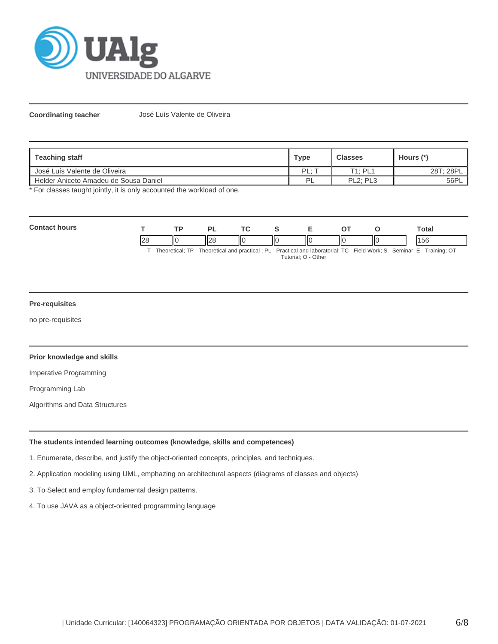

**Coordinating teacher** José Luís Valente de Oliveira

| <b>Teaching staff</b>                 | <b>Type</b> | <b>Classes</b>                    | Hours (*) |
|---------------------------------------|-------------|-----------------------------------|-----------|
| José Luís Valente de Oliveira         | PL:         | T1: PL1                           | 28T: 28PL |
| Helder Aniceto Amadeu de Sousa Daniel | PI          | PL <sub>2</sub> : PL <sub>3</sub> | 56PL      |

\* For classes taught jointly, it is only accounted the workload of one.

| r. |                |    | o    |    |    |     | Total |
|----|----------------|----|------|----|----|-----|-------|
|    | $\Omega$<br>∠⊂ | ΠС | II28 | ШΟ | ШC | IІC | эc    |

T - Theoretical; TP - Theoretical and practical ; PL - Practical and laboratorial; TC - Field Work; S - Seminar; E - Training; OT - Tutorial; O - Other

# **Pre-requisites**

no pre-requisites

## **Prior knowledge and skills**

Imperative Programming

Programming Lab

Algorithms and Data Structures

## **The students intended learning outcomes (knowledge, skills and competences)**

1. Enumerate, describe, and justify the object-oriented concepts, principles, and techniques.

- 2. Application modeling using UML, emphazing on architectural aspects (diagrams of classes and objects)
- 3. To Select and employ fundamental design patterns.
- 4. To use JAVA as a object-oriented programming language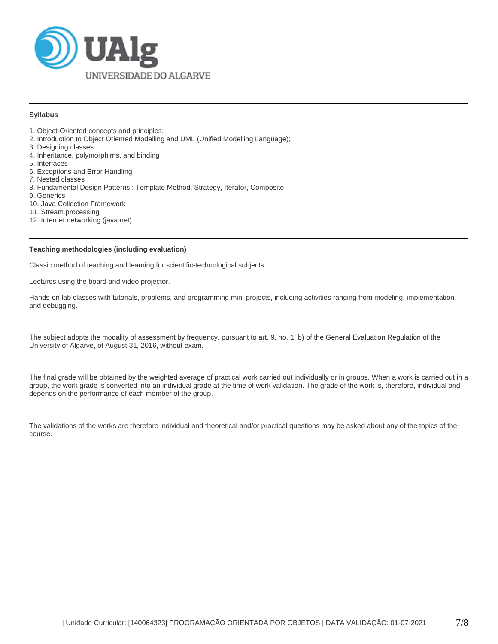

### **Syllabus**

- 1. Object-Oriented concepts and principles;
- 2. Introduction to Object Oriented Modelling and UML (Unified Modelling Language);
- 3. Designing classes
- 4. Inheritance, polymorphims, and binding
- 5. Interfaces
- 6. Exceptions and Error Handling
- 7. Nested classes
- 8. Fundamental Design Patterns : Template Method, Strategy, Iterator, Composite
- 9. Generics
- 10. Java Collection Framework
- 11. Stream processing
- 12. Internet networking (java.net)

### **Teaching methodologies (including evaluation)**

Classic method of teaching and learning for scientific-technological subjects.

Lectures using the board and video projector.

Hands-on lab classes with tutorials, problems, and programming mini-projects, including activities ranging from modeling, implementation, and debugging.

The subject adopts the modality of assessment by frequency, pursuant to art. 9, no. 1, b) of the General Evaluation Regulation of the University of Algarve, of August 31, 2016, without exam.

The final grade will be obtained by the weighted average of practical work carried out individually or in groups. When a work is carried out in a group, the work grade is converted into an individual grade at the time of work validation. The grade of the work is, therefore, individual and depends on the performance of each member of the group.

The validations of the works are therefore individual and theoretical and/or practical questions may be asked about any of the topics of the course.